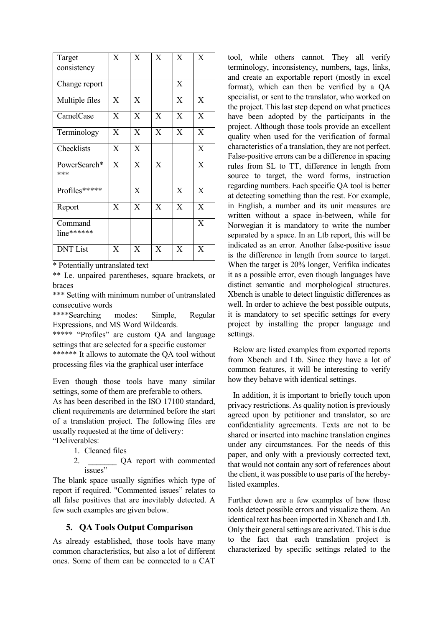| Target                  | X              | X | X            | X | X            |
|-------------------------|----------------|---|--------------|---|--------------|
| consistency             |                |   |              |   |              |
| Change report           |                |   |              | X |              |
| Multiple files          | X              | X |              | X | X            |
| CamelCase               | $\overline{X}$ | X | $\mathbf{X}$ | X | $\mathbf{X}$ |
| Terminology             | X              | X | X            | X | X            |
| Checklists              | X              | X |              |   | X            |
| PowerSearch*<br>***     | X              | X | X            |   | X            |
| Profiles*****           |                | X |              | X | $\mathbf{X}$ |
| Report                  | X              | X | X            | X | X            |
| Command<br>$line******$ |                |   |              |   | X            |
| <b>DNT</b> List         | X              | X | X            | X | X            |

\* Potentially untranslated text

\*\* I.e. unpaired parentheses, square brackets, or braces

\*\*\* Setting with minimum number of untranslated consecutive words

\*\*\*\*Searching modes: Simple, Regular Expressions, and MS Word Wildcards.

\*\*\*\*\* "Profiles" are custom QA and language settings that are selected for a specific customer \*\*\*\*\*\* It allows to automate the QA tool without processing files via the graphical user interface

Even though those tools have many similar settings, some of them are preferable to others.

As has been described in the ISO 17100 standard, client requirements are determined before the start of a translation project. The following files are usually requested at the time of delivery:

"Deliverables:

- 1. Cleaned files
- 2. \_\_\_\_\_\_\_\_\_\_\_ QA report with commented issues"

The blank space usually signifies which type of report if required. "Commented issues" relates to all false positives that are inevitably detected. A few such examples are given below.

## **5. QA Tools Output Comparison**

As already established, those tools have many common characteristics, but also a lot of different ones. Some of them can be connected to a CAT

tool, while others cannot. They all verify terminology, inconsistency, numbers, tags, links, and create an exportable report (mostly in excel format), which can then be verified by a QA specialist, or sent to the translator, who worked on the project. This last step depend on what practices have been adopted by the participants in the project. Although those tools provide an excellent quality when used for the verification of formal characteristics of a translation, they are not perfect. False-positive errors can be a difference in spacing rules from SL to TT, difference in length from source to target, the word forms, instruction regarding numbers. Each specific QA tool is better at detecting something than the rest. For example, in English, a number and its unit measures are written without a space in-between, while for Norwegian it is mandatory to write the number separated by a space. In an Ltb report, this will be indicated as an error. Another false-positive issue is the difference in length from source to target. When the target is 20% longer, Verifika indicates it as a possible error, even though languages have distinct semantic and morphological structures. Xbench is unable to detect linguistic differences as well. In order to achieve the best possible outputs, it is mandatory to set specific settings for every project by installing the proper language and settings.

Below are listed examples from exported reports from Xbench and Ltb. Since they have a lot of common features, it will be interesting to verify how they behave with identical settings.

In addition, it is important to briefly touch upon privacy restrictions. As quality notion is previously agreed upon by petitioner and translator, so are confidentiality agreements. Texts are not to be shared or inserted into machine translation engines under any circumstances. For the needs of this paper, and only with a previously corrected text, that would not contain any sort of references about the client, it was possible to use parts of the herebylisted examples.

Further down are a few examples of how those tools detect possible errors and visualize them. An identical text has been imported in Xbench and Ltb. Only their general settings are activated. This is due to the fact that each translation project is characterized by specific settings related to the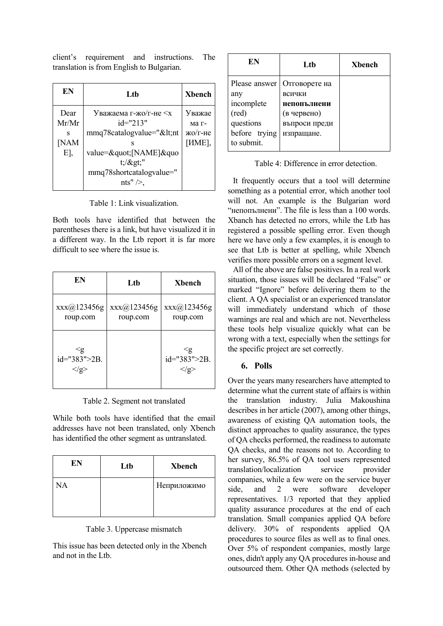client's requirement and instructions. The translation is from English to Bulgarian.

| EN                               | Ltb                                                                                                                                                                                                       | <b>Xbench</b>                                 |
|----------------------------------|-----------------------------------------------------------------------------------------------------------------------------------------------------------------------------------------------------------|-----------------------------------------------|
| Dear<br>Mr/Mr<br>s<br>[NAM<br>E, | Уважаема г-жо/г-не $\leq x$<br>$id="213"$<br>mmq78catalogvalue=" <nt<br>value="[NAME]&amp;quo<br/><math>t</math>;/<math>\&gt;</math>gt;"<br/>mmq78shortcatalogyalue="<br/>nts" <math>\geq</math>,</nt<br> | Уважае<br>ма г-<br>жо/г-не<br>[ <i>HME</i> ], |

Table 1: Link visualization.

Both tools have identified that between the parentheses there is a link, but have visualized it in a different way. In the Ltb report it is far more difficult to see where the issue is.

| EN                                           | Lth                       | <b>X</b> bench                    |
|----------------------------------------------|---------------------------|-----------------------------------|
| $\text{xxx}(a)$ 123456g<br>roup.com          | XXX(@)123456g<br>roup.com | XXX@123456g<br>roup.com           |
| ≤g<br>$id="383">2B.$<br>$\langle \rangle$ g> |                           | ≤g<br>$id="383" > 2B.$<br>$<$ /g> |

Table 2. Segment not translated

While both tools have identified that the email addresses have not been translated, only Xbench has identified the other segment as untranslated.

| EN | Ltb | <b>Xbench</b> |
|----|-----|---------------|
| NA |     | Неприложимо   |

| Table 3. Uppercase mismatch |  |
|-----------------------------|--|
|                             |  |

This issue has been detected only in the Xbench and not in the Ltb.

| EN                                                                                      | Lth                                                                                  | Xbench |
|-----------------------------------------------------------------------------------------|--------------------------------------------------------------------------------------|--------|
| Please answer<br>any<br>incomplete<br>(red)<br>questions<br>before trying<br>to submit. | Отговорете на<br>всички<br>непопълнени<br>(в червено)<br>въпроси преди<br>изпращане. |        |

Table 4: Difference in error detection.

It frequently occurs that a tool will determine something as a potential error, which another tool will not. An example is the Bulgarian word "непопълнени". The file is less than a 100 words. Xbanch has detected no errors, while the Ltb has registered a possible spelling error. Even though here we have only a few examples, it is enough to see that Ltb is better at spelling, while Xbench verifies more possible errors on a segment level.

All of the above are false positives. In a real work situation, those issues will be declared "False" or marked "Ignore" before delivering them to the client. A QA specialist or an experienced translator will immediately understand which of those warnings are real and which are not. Nevertheless these tools help visualize quickly what can be wrong with a text, especially when the settings for the specific project are set correctly.

## **6. Polls**

Over the years many researchers have attempted to determine what the current state of affairs is within the translation industry. Julia Makoushina describes in her article (2007), among other things, awareness of existing QA automation tools, the distinct approaches to quality assurance, the types of QA checks performed, the readiness to automate QA checks, and the reasons not to. According to her survey, 86.5% of QA tool users represented translation/localization service provider companies, while a few were on the service buyer side, and 2 were software developer representatives. 1/3 reported that they applied quality assurance procedures at the end of each translation. Small companies applied QA before delivery. 30% of respondents applied QA procedures to source files as well as to final ones. Over 5% of respondent companies, mostly large ones, didn't apply any QA procedures in-house and outsourced them. Other QA methods (selected by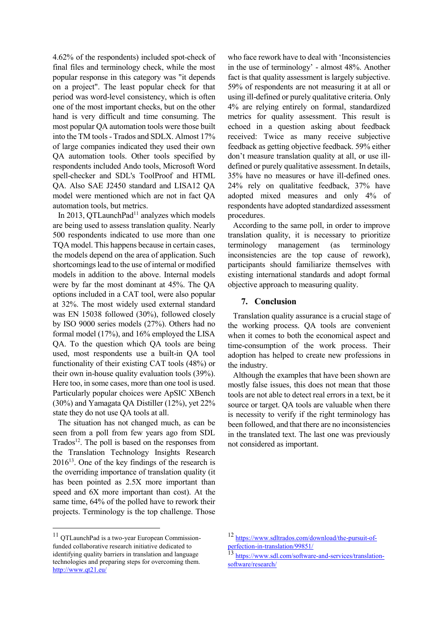4.62% of the respondents) included spot-check of final files and terminology check, while the most popular response in this category was "it depends on a project". The least popular check for that period was word-level consistency, which is often one of the most important checks, but on the other hand is very difficult and time consuming. The most popular QA automation tools were those built into the TM tools - Trados and SDLX. Almost 17% of large companies indicated they used their own QA automation tools. Other tools specified by respondents included Ando tools, Microsoft Word spell-checker and SDL's ToolProof and HTML QA. Also SAE J2450 standard and LISA12 QA model were mentioned which are not in fact QA automation tools, but metrics.

In 2013, QTLaunchPad<sup>11</sup> analyzes which models are being used to assess translation quality. Nearly 500 respondents indicated to use more than one TQA model. This happens because in certain cases, the models depend on the area of application. Such shortcomings lead to the use of internal or modified models in addition to the above. Internal models were by far the most dominant at 45%. The QA options included in a CAT tool, were also popular at 32%. The most widely used external standard was EN 15038 followed (30%), followed closely by ISO 9000 series models (27%). Others had no formal model (17%), and 16% employed the LISA QA. To the question which QA tools are being used, most respondents use a built-in QA tool functionality of their existing CAT tools (48%) or their own in-house quality evaluation tools (39%). Here too, in some cases, more than one tool is used. Particularly popular choices were ApSIC XBench (30%) and Yamagata QA Distiller (12%), yet 22% state they do not use QA tools at all.

The situation has not changed much, as can be seen from a poll from few years ago from SDL Trados<sup>12</sup>. The poll is based on the responses from the Translation Technology Insights Research 2016<sup>13</sup>. One of the key findings of the research is the overriding importance of translation quality (it has been pointed as 2.5X more important than speed and 6X more important than cost). At the same time, 64% of the polled have to rework their projects. Terminology is the top challenge. Those

<sup>11</sup> QTLaunchPad is a two-year European Commissionfunded collaborative research initiative dedicated to identifying quality barriers in translation and language technologies and preparing steps for overcoming them. <http://www.qt21.eu/>

who face rework have to deal with 'Inconsistencies in the use of terminology' - almost 48%. Another fact is that quality assessment is largely subjective. 59% of respondents are not measuring it at all or using ill-defined or purely qualitative criteria. Only 4% are relying entirely on formal, standardized metrics for quality assessment. This result is echoed in a question asking about feedback received: Twice as many receive subjective feedback as getting objective feedback. 59% either don't measure translation quality at all, or use illdefined or purely qualitative assessment. In details, 35% have no measures or have ill-defined ones. 24% rely on qualitative feedback, 37% have adopted mixed measures and only 4% of respondents have adopted standardized assessment procedures.

According to the same poll, in order to improve translation quality, it is necessary to prioritize terminology management (as terminology inconsistencies are the top cause of rework), participants should familiarize themselves with existing international standards and adopt formal objective approach to measuring quality.

## **7. Conclusion**

Translation quality assurance is a crucial stage of the working process. QA tools are convenient when it comes to both the economical aspect and time-consumption of the work process. Their adoption has helped to create new professions in the industry.

Although the examples that have been shown are mostly false issues, this does not mean that those tools are not able to detect real errors in a text, be it source or target. QA tools are valuable when there is necessity to verify if the right terminology has been followed, and that there are no inconsistencies in the translated text. The last one was previously not considered as important.

<sup>12</sup> [https://www.sdltrados.com/download/the-pursuit-of](https://www.sdltrados.com/download/the-pursuit-of-perfection-in-translation/99851/)[perfection-in-translation/99851/](https://www.sdltrados.com/download/the-pursuit-of-perfection-in-translation/99851/)

<sup>13&</sup>lt;br>13 [https://www.sdl.com/software-and-services/translation](https://www.sdl.com/software-and-services/translation-software/research/)[software/research/](https://www.sdl.com/software-and-services/translation-software/research/)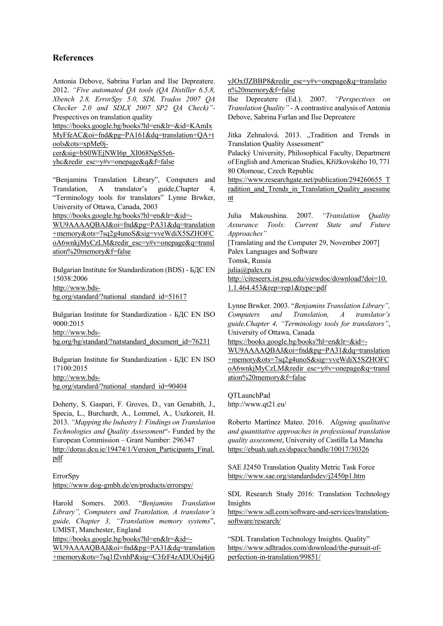## **References**

Antonia Debove, Sabrina Furlan and Ilse Depreatere. 2012. *"Five automated QA tools (QA Distiller 6.5.8, Xbench 2.8, ErrorSpy 5.0, SDL Trados 2007 QA Checker 2.0 and SDLX 2007 SP2 QA Check)"-*  Prespectives on translation quality

[https://books.google.bg/books?hl=en&lr=&id=KAmIx](https://books.google.bg/books?hl=en&lr=&id=KAmIxMyFfeAC&oi=fnd&pg=PA161&dq=translation+QA+tools&ots=xpMe0j-cer&sig=bS0WEjNWI6p_XI068NpS5e6-yhc&redir_esc=y#v=onepage&q&f=false) [MyFfeAC&oi=fnd&pg=PA161&dq=translation+QA+t](https://books.google.bg/books?hl=en&lr=&id=KAmIxMyFfeAC&oi=fnd&pg=PA161&dq=translation+QA+tools&ots=xpMe0j-cer&sig=bS0WEjNWI6p_XI068NpS5e6-yhc&redir_esc=y#v=onepage&q&f=false) [ools&ots=xpMe0j](https://books.google.bg/books?hl=en&lr=&id=KAmIxMyFfeAC&oi=fnd&pg=PA161&dq=translation+QA+tools&ots=xpMe0j-cer&sig=bS0WEjNWI6p_XI068NpS5e6-yhc&redir_esc=y#v=onepage&q&f=false)[cer&sig=bS0WEjNWI6p\\_XI068NpS5e6-](https://books.google.bg/books?hl=en&lr=&id=KAmIxMyFfeAC&oi=fnd&pg=PA161&dq=translation+QA+tools&ots=xpMe0j-cer&sig=bS0WEjNWI6p_XI068NpS5e6-yhc&redir_esc=y#v=onepage&q&f=false)

[yhc&redir\\_esc=y#v=onepage&q&f=false](https://books.google.bg/books?hl=en&lr=&id=KAmIxMyFfeAC&oi=fnd&pg=PA161&dq=translation+QA+tools&ots=xpMe0j-cer&sig=bS0WEjNWI6p_XI068NpS5e6-yhc&redir_esc=y#v=onepage&q&f=false)

"Benjamins Translation Library", Computers and Translation, A translator's guide,Chapter 4, "Terminology tools for translators" Lynne Brwker, University of Ottawa, Canada, 2003

[https://books.google.bg/books?hl=en&lr=&id=-](https://books.google.bg/books?hl=en&lr=&id=-WU9AAAAQBAJ&oi=fnd&pg=PA31&dq=translation+memory&ots=7sq2g4unoS&sig=vveWdiX5SZHOFCoA6wnkjMyCzLM&redir_esc=y#v=onepage&q=translation%2520memory&f=false)

[WU9AAAAQBAJ&oi=fnd&pg=PA31&dq=translation](https://books.google.bg/books?hl=en&lr=&id=-WU9AAAAQBAJ&oi=fnd&pg=PA31&dq=translation+memory&ots=7sq2g4unoS&sig=vveWdiX5SZHOFCoA6wnkjMyCzLM&redir_esc=y#v=onepage&q=translation%2520memory&f=false) [+memory&ots=7sq2g4unoS&sig=vveWdiX5SZHOFC](https://books.google.bg/books?hl=en&lr=&id=-WU9AAAAQBAJ&oi=fnd&pg=PA31&dq=translation+memory&ots=7sq2g4unoS&sig=vveWdiX5SZHOFCoA6wnkjMyCzLM&redir_esc=y#v=onepage&q=translation%2520memory&f=false) [oA6wnkjMyCzLM&redir\\_esc=y#v=onepage&q=transl](https://books.google.bg/books?hl=en&lr=&id=-WU9AAAAQBAJ&oi=fnd&pg=PA31&dq=translation+memory&ots=7sq2g4unoS&sig=vveWdiX5SZHOFCoA6wnkjMyCzLM&redir_esc=y#v=onepage&q=translation%2520memory&f=false) [ation%20memory&f=false](https://books.google.bg/books?hl=en&lr=&id=-WU9AAAAQBAJ&oi=fnd&pg=PA31&dq=translation+memory&ots=7sq2g4unoS&sig=vveWdiX5SZHOFCoA6wnkjMyCzLM&redir_esc=y#v=onepage&q=translation%2520memory&f=false)

Bulgarian Institute for Standardization (BDS) - БДС EN 15038:2006 [http://www.bds](http://www.bds-bg.org/standard/?national_standard_id=51617)[bg.org/standard/?national\\_standard\\_id=51617](http://www.bds-bg.org/standard/?national_standard_id=51617)

Bulgarian Institute for Standardization - БДС EN ISO 9000:2015 [http://www.bds](http://www.bds-bg.org/bg/standard/?natstandard_document_id=76231)[bg.org/bg/standard/?natstandard\\_document\\_id=76231](http://www.bds-bg.org/bg/standard/?natstandard_document_id=76231)

Bulgarian Institute for Standardization - БДС EN ISO 17100:2015 [http://www.bds-](http://www.bds-bg.org/standard/?national_standard_id=90404)

[bg.org/standard/?national\\_standard\\_id=90404](http://www.bds-bg.org/standard/?national_standard_id=90404)

Doherty, S. Gaspari, F. Groves, D., van Genabith, J., Specia, L., Burchardt, A., Lommel, A., Uszkoreit, H. 2013. *"Mapping the Industry I: Findings on Translation Technologies and Quality Assessment*"- Funded by the European Commission – Grant Number: 296347 [http://doras.dcu.ie/19474/1/Version\\_Participants\\_Final.](http://doras.dcu.ie/19474/1/Version_Participants_Final.pdf) [pdf](http://doras.dcu.ie/19474/1/Version_Participants_Final.pdf)

ErrorSpy <https://www.dog-gmbh.de/en/products/errorspy/>

Harold Somers. 2003. "*Benjamins Translation Library", Computers and Translation, A translator's guide, Chapter 3, "Translation memory systems*", UMIST, Manchester, England

[https://books.google.bg/books?hl=en&lr=&id=-](https://books.google.bg/books?hl=en&lr=&id=-WU9AAAAQBAJ&oi=fnd&pg=PA31&dq=translation+memory&ots=7sq1f2vnhP&sig=C3fzF4zADUOsj4jGyJOxfJZBBP8&redir_esc=y#v=onepage&q=translation%2520memory&f=false)

[WU9AAAAQBAJ&oi=fnd&pg=PA31&dq=translation](https://books.google.bg/books?hl=en&lr=&id=-WU9AAAAQBAJ&oi=fnd&pg=PA31&dq=translation+memory&ots=7sq1f2vnhP&sig=C3fzF4zADUOsj4jGyJOxfJZBBP8&redir_esc=y#v=onepage&q=translation%2520memory&f=false) [+memory&ots=7sq1f2vnhP&sig=C3fzF4zADUOsj4jG](https://books.google.bg/books?hl=en&lr=&id=-WU9AAAAQBAJ&oi=fnd&pg=PA31&dq=translation+memory&ots=7sq1f2vnhP&sig=C3fzF4zADUOsj4jGyJOxfJZBBP8&redir_esc=y#v=onepage&q=translation%2520memory&f=false) [yJOxfJZBBP8&redir\\_esc=y#v=onepage&q=translatio](https://books.google.bg/books?hl=en&lr=&id=-WU9AAAAQBAJ&oi=fnd&pg=PA31&dq=translation+memory&ots=7sq1f2vnhP&sig=C3fzF4zADUOsj4jGyJOxfJZBBP8&redir_esc=y#v=onepage&q=translation%2520memory&f=false) [n%20memory&f=false](https://books.google.bg/books?hl=en&lr=&id=-WU9AAAAQBAJ&oi=fnd&pg=PA31&dq=translation+memory&ots=7sq1f2vnhP&sig=C3fzF4zADUOsj4jGyJOxfJZBBP8&redir_esc=y#v=onepage&q=translation%2520memory&f=false)

Ilse Depreatere (Ed.). 2007. *"Perspectives on Translation Quality"* - A contrastive analysis of Antonia Debove, Sabrina Furlan and Ilse Depreatere

Jitka Zehnalová. 2013. "Tradition and Trends in Translation Quality Assessment"

Palacký University, Philosophical Faculty, Department of English and American Studies, Křížkovského 10, 771 80 Olomouc, Czech Republic

[https://www.researchgate.net/publication/294260655\\_T](https://www.researchgate.net/publication/294260655_Tradition_and_Trends_in_Translation_Quality_assessment) radition and Trends in Translation Quality assessme [nt](https://www.researchgate.net/publication/294260655_Tradition_and_Trends_in_Translation_Quality_assessment)

Julia Makoushina. 2007. *"Translation Quality Assurance Tools: Current State and Future Approaches"* [Translating and the Computer 29, November 2007] Palex Languages and Software Tomsk, Russia [julia@palex.ru](mailto:julia@palex.ru) [http://citeseerx.ist.psu.edu/viewdoc/download?doi=10.](http://citeseerx.ist.psu.edu/viewdoc/download?doi=10.1.1.464.453&rep=rep1&type=pdf) [1.1.464.453&rep=rep1&type=pdf](http://citeseerx.ist.psu.edu/viewdoc/download?doi=10.1.1.464.453&rep=rep1&type=pdf)

Lynne Brwker. 2003. "*Benjamins Translation Library", Computers and Translation, A translator's guide,Chapter 4, "Terminology tools for translators"*, University of Ottawa, Canada

[https://books.google.bg/books?hl=en&lr=&id=-](https://books.google.bg/books?hl=en&lr=&id=-WU9AAAAQBAJ&oi=fnd&pg=PA31&dq=translation+memory&ots=7sq2g4unoS&sig=vveWdiX5SZHOFCoA6wnkjMyCzLM&redir_esc=y#v=onepage&q=translation%2520memory&f=false) [WU9AAAAQBAJ&oi=fnd&pg=PA31&dq=translation](https://books.google.bg/books?hl=en&lr=&id=-WU9AAAAQBAJ&oi=fnd&pg=PA31&dq=translation+memory&ots=7sq2g4unoS&sig=vveWdiX5SZHOFCoA6wnkjMyCzLM&redir_esc=y#v=onepage&q=translation%2520memory&f=false) [+memory&ots=7sq2g4unoS&sig=vveWdiX5SZHOFC](https://books.google.bg/books?hl=en&lr=&id=-WU9AAAAQBAJ&oi=fnd&pg=PA31&dq=translation+memory&ots=7sq2g4unoS&sig=vveWdiX5SZHOFCoA6wnkjMyCzLM&redir_esc=y#v=onepage&q=translation%2520memory&f=false) [oA6wnkjMyCzLM&redir\\_esc=y#v=onepage&q=transl](https://books.google.bg/books?hl=en&lr=&id=-WU9AAAAQBAJ&oi=fnd&pg=PA31&dq=translation+memory&ots=7sq2g4unoS&sig=vveWdiX5SZHOFCoA6wnkjMyCzLM&redir_esc=y#v=onepage&q=translation%2520memory&f=false) [ation%20memory&f=false](https://books.google.bg/books?hl=en&lr=&id=-WU9AAAAQBAJ&oi=fnd&pg=PA31&dq=translation+memory&ots=7sq2g4unoS&sig=vveWdiX5SZHOFCoA6wnkjMyCzLM&redir_esc=y#v=onepage&q=translation%2520memory&f=false)

QTLaunchPad http://www.qt21.eu/

Roberto Martínez Mateo. 2016. A*ligning qualitative and quantitative approaches in professional translation quality assessment*, University of Castilla La Mancha <https://ebuah.uah.es/dspace/handle/10017/30326>

SAE J2450 Translation Quality Metric Task Force <https://www.sae.org/standardsdev/j2450p1.htm>

SDL Research Study 2016: Translation Technology Insights

[https://www.sdl.com/software-and-services/translation](https://www.sdl.com/software-and-services/translation-software/research/)[software/research/](https://www.sdl.com/software-and-services/translation-software/research/)

"SDL Translation Technology Insights. Quality" [https://www.sdltrados.com/download/the-pursuit-of](https://www.sdltrados.com/download/the-pursuit-of-perfection-in-translation/99851/)[perfection-in-translation/99851/](https://www.sdltrados.com/download/the-pursuit-of-perfection-in-translation/99851/)